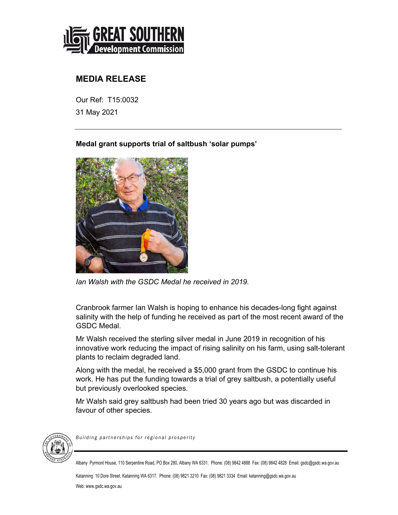

## **MEDIA RELEASE**

Our Ref: T15:0032 31 May 2021

**Medal grant supports trial of saltbush 'solar pumps'** 



*Ian Walsh with the GSDC Medal he received in 2019.* 

Cranbrook farmer Ian Walsh is hoping to enhance his decades-long fight against salinity with the help of funding he received as part of the most recent award of the GSDC Medal.

Mr Walsh received the sterling silver medal in June 2019 in recognition of his innovative work reducing the impact of rising salinity on his farm, using salt-tolerant plants to reclaim degraded land.

Along with the medal, he received a \$5,000 grant from the GSDC to continue his work. He has put the funding towards a trial of grey saltbush, a potentially useful but previously overlooked species.

Mr Walsh said grey saltbush had been tried 30 years ago but was discarded in favour of other species.



*Building partnerships for regional prosperity* 

Albany Pyrmont House, 110 Serpentine Road, PO Box 280, Albany WA 6331. Phone: (08) 9842 4888 Fax: (08) 9842 4828 Email: gsdc@gsdc.wa.gov.au

Katanning 10 Dore Street, Katanning WA 6317. Phone: (08) 9821 3210 Fax: (08) 9821 3334 Email: katanning@gsdc.wa.gov.au Web: www.gsdc.wa.gov.au